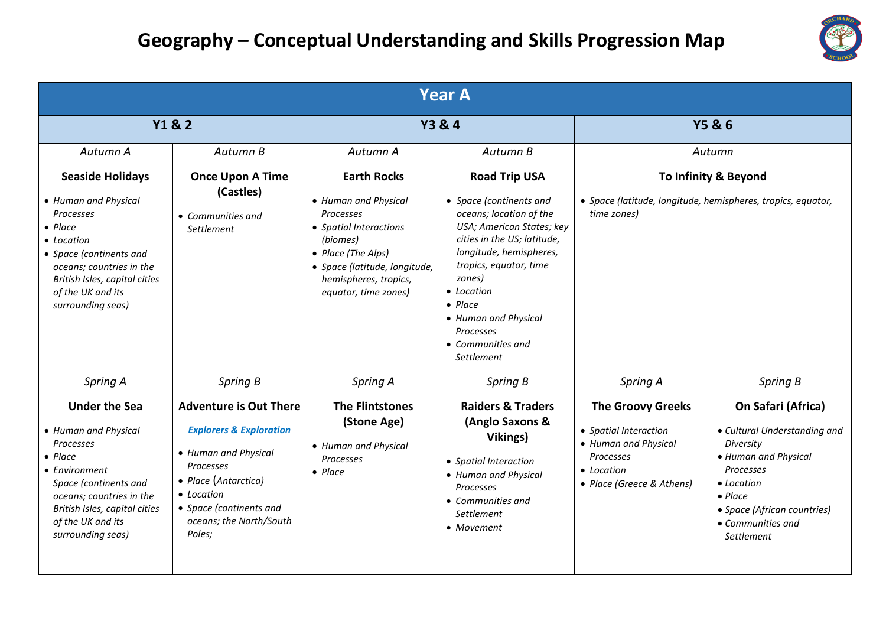

| <b>Year A</b>                                                                                                                                                                                                                               |                                                                                                                                                                                                                                   |                                                                                                                                                                                                                   |                                                                                                                                                                                                                                                                                                                                   |                                                                                                                                                      |                                                                                                                                                                                                                     |
|---------------------------------------------------------------------------------------------------------------------------------------------------------------------------------------------------------------------------------------------|-----------------------------------------------------------------------------------------------------------------------------------------------------------------------------------------------------------------------------------|-------------------------------------------------------------------------------------------------------------------------------------------------------------------------------------------------------------------|-----------------------------------------------------------------------------------------------------------------------------------------------------------------------------------------------------------------------------------------------------------------------------------------------------------------------------------|------------------------------------------------------------------------------------------------------------------------------------------------------|---------------------------------------------------------------------------------------------------------------------------------------------------------------------------------------------------------------------|
| <b>Y1 &amp; 2</b>                                                                                                                                                                                                                           |                                                                                                                                                                                                                                   | <b>Y3 &amp; 4</b>                                                                                                                                                                                                 |                                                                                                                                                                                                                                                                                                                                   | <b>Y5 &amp; 6</b>                                                                                                                                    |                                                                                                                                                                                                                     |
| Autumn A<br><b>Seaside Holidays</b><br>• Human and Physical<br>Processes<br>$\bullet$ Place<br>• Location<br>• Space (continents and<br>oceans; countries in the<br>British Isles, capital cities<br>of the UK and its<br>surrounding seas) | Autumn B<br><b>Once Upon A Time</b><br>(Castles)<br>• Communities and<br>Settlement                                                                                                                                               | Autumn A<br><b>Earth Rocks</b><br>• Human and Physical<br>Processes<br>• Spatial Interactions<br>(biomes)<br>• Place (The Alps)<br>• Space (latitude, longitude,<br>hemispheres, tropics,<br>equator, time zones) | Autumn B<br><b>Road Trip USA</b><br>• Space (continents and<br>oceans; location of the<br>USA; American States; key<br>cities in the US; latitude,<br>longitude, hemispheres,<br>tropics, equator, time<br>zones)<br>• Location<br>$\bullet$ Place<br>• Human and Physical<br><b>Processes</b><br>• Communities and<br>Settlement | Autumn<br>To Infinity & Beyond<br>• Space (latitude, longitude, hemispheres, tropics, equator,<br>time zones)                                        |                                                                                                                                                                                                                     |
| Spring A<br><b>Under the Sea</b><br>• Human and Physical<br>Processes<br>$\bullet$ Place<br>• Environment<br>Space (continents and<br>oceans; countries in the<br>British Isles, capital cities<br>of the UK and its<br>surrounding seas)   | Spring B<br><b>Adventure is Out There</b><br><b>Explorers &amp; Exploration</b><br>• Human and Physical<br><b>Processes</b><br>• Place (Antarctica)<br>• Location<br>• Space (continents and<br>oceans; the North/South<br>Poles; | Spring A<br><b>The Flintstones</b><br>(Stone Age)<br>• Human and Physical<br>Processes<br>$\bullet$ Place                                                                                                         | Spring B<br><b>Raiders &amp; Traders</b><br>(Anglo Saxons &<br>Vikings)<br>• Spatial Interaction<br>• Human and Physical<br><b>Processes</b><br>• Communities and<br>Settlement<br>• Movement                                                                                                                                     | Spring A<br><b>The Groovy Greeks</b><br>• Spatial Interaction<br>• Human and Physical<br><b>Processes</b><br>• Location<br>• Place (Greece & Athens) | Spring B<br>On Safari (Africa)<br>• Cultural Understanding and<br>Diversity<br>• Human and Physical<br>Processes<br>• Location<br>$\bullet$ Place<br>• Space (African countries)<br>• Communities and<br>Settlement |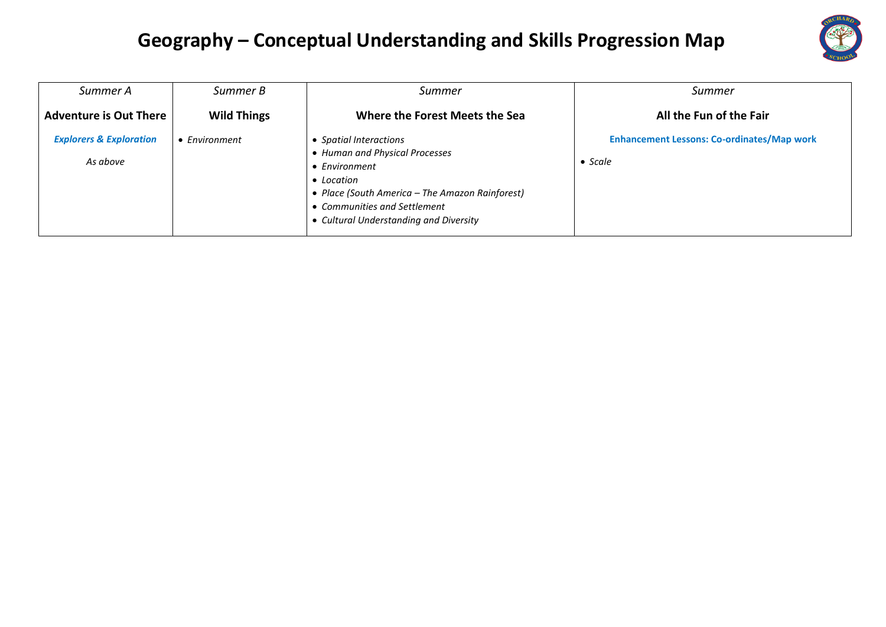

| Summer A                                       | Summer B              | Summer                                                                                                                                                                                                               | Summer                                                               |
|------------------------------------------------|-----------------------|----------------------------------------------------------------------------------------------------------------------------------------------------------------------------------------------------------------------|----------------------------------------------------------------------|
| <b>Adventure is Out There</b>                  | <b>Wild Things</b>    | Where the Forest Meets the Sea                                                                                                                                                                                       | All the Fun of the Fair                                              |
| <b>Explorers &amp; Exploration</b><br>As above | $\bullet$ Environment | • Spatial Interactions<br>• Human and Physical Processes<br>• Environment<br>• Location<br>• Place (South America - The Amazon Rainforest)<br>• Communities and Settlement<br>• Cultural Understanding and Diversity | <b>Enhancement Lessons: Co-ordinates/Map work</b><br>$\bullet$ Scale |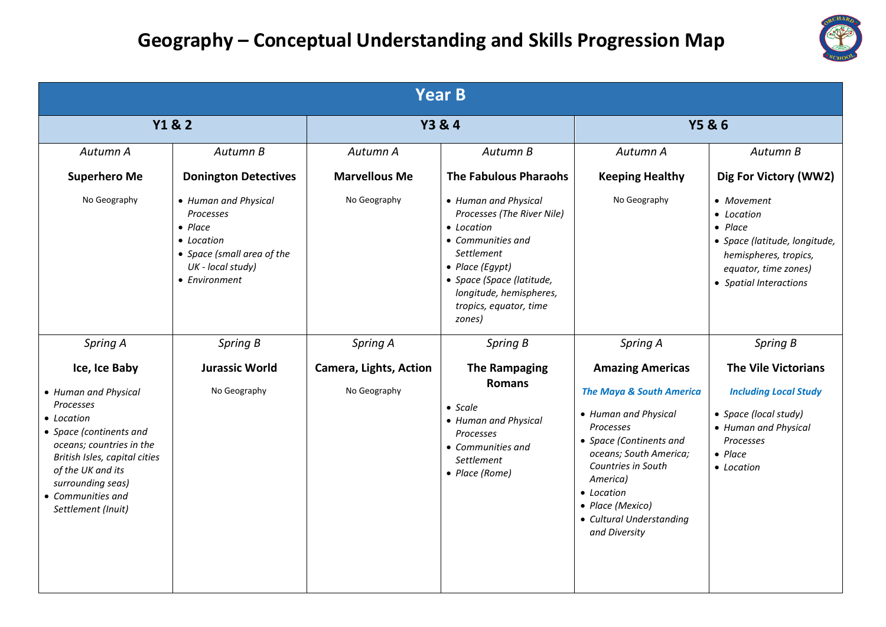

| <b>Year B</b>                                                                                                                                                                                                                                 |                                                                                                                                        |                                               |                                                                                                                                                                                                                            |                                                                                                                                                                                                                                                                           |                                                                                                                                                           |  |
|-----------------------------------------------------------------------------------------------------------------------------------------------------------------------------------------------------------------------------------------------|----------------------------------------------------------------------------------------------------------------------------------------|-----------------------------------------------|----------------------------------------------------------------------------------------------------------------------------------------------------------------------------------------------------------------------------|---------------------------------------------------------------------------------------------------------------------------------------------------------------------------------------------------------------------------------------------------------------------------|-----------------------------------------------------------------------------------------------------------------------------------------------------------|--|
| Y1&2                                                                                                                                                                                                                                          |                                                                                                                                        | <b>Y3 &amp; 4</b>                             |                                                                                                                                                                                                                            | <b>Y5 &amp; 6</b>                                                                                                                                                                                                                                                         |                                                                                                                                                           |  |
| Autumn A                                                                                                                                                                                                                                      | Autumn B                                                                                                                               | Autumn A                                      | Autumn B                                                                                                                                                                                                                   | Autumn A                                                                                                                                                                                                                                                                  | Autumn B                                                                                                                                                  |  |
| <b>Superhero Me</b>                                                                                                                                                                                                                           | <b>Donington Detectives</b>                                                                                                            | <b>Marvellous Me</b>                          | <b>The Fabulous Pharaohs</b>                                                                                                                                                                                               | <b>Keeping Healthy</b>                                                                                                                                                                                                                                                    | Dig For Victory (WW2)                                                                                                                                     |  |
| No Geography                                                                                                                                                                                                                                  | • Human and Physical<br>Processes<br>$\bullet$ Place<br>• Location<br>• Space (small area of the<br>UK - local study)<br>• Environment | No Geography                                  | • Human and Physical<br>Processes (The River Nile)<br>• Location<br>• Communities and<br>Settlement<br>$\bullet$ Place (Egypt)<br>• Space (Space (latitude,<br>longitude, hemispheres,<br>tropics, equator, time<br>zones) | No Geography                                                                                                                                                                                                                                                              | • Movement<br>• Location<br>$\bullet$ Place<br>• Space (latitude, longitude,<br>hemispheres, tropics,<br>equator, time zones)<br>• Spatial Interactions   |  |
| Spring A                                                                                                                                                                                                                                      | Spring B                                                                                                                               | Spring A                                      | Spring B                                                                                                                                                                                                                   | Spring A                                                                                                                                                                                                                                                                  | Spring B                                                                                                                                                  |  |
| Ice, Ice Baby<br>• Human and Physical<br>Processes<br>• Location<br>• Space (continents and<br>oceans; countries in the<br>British Isles, capital cities<br>of the UK and its<br>surrounding seas)<br>• Communities and<br>Settlement (Inuit) | <b>Jurassic World</b><br>No Geography                                                                                                  | <b>Camera, Lights, Action</b><br>No Geography | <b>The Rampaging</b><br><b>Romans</b><br>$\bullet$ Scale<br>• Human and Physical<br>Processes<br>• Communities and<br>Settlement<br>• Place (Rome)                                                                         | <b>Amazing Americas</b><br><b>The Maya &amp; South America</b><br>• Human and Physical<br>Processes<br>• Space (Continents and<br>oceans; South America;<br>Countries in South<br>America)<br>• Location<br>• Place (Mexico)<br>• Cultural Understanding<br>and Diversity | <b>The Vile Victorians</b><br><b>Including Local Study</b><br>• Space (local study)<br>• Human and Physical<br>Processes<br>$\bullet$ Place<br>• Location |  |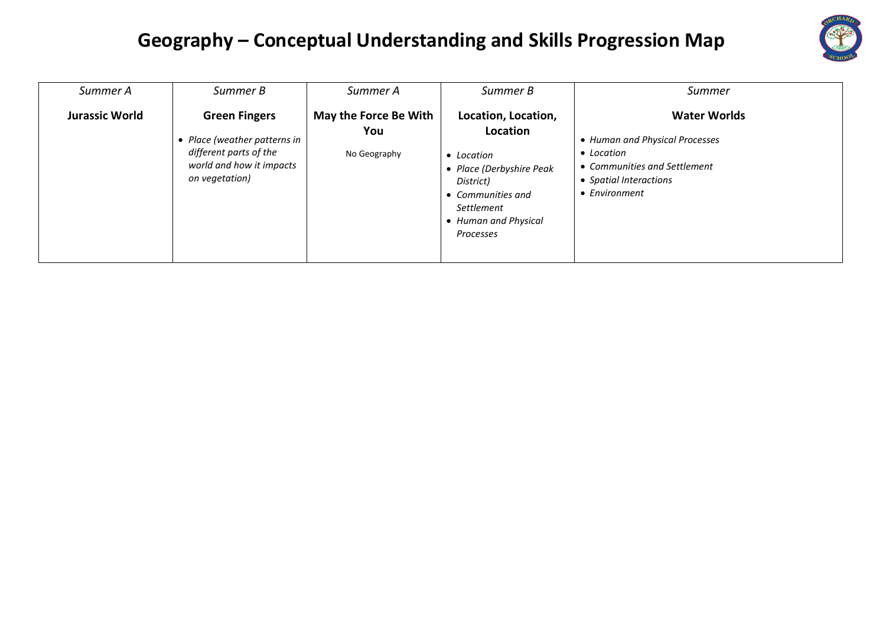

| Summer A              | Summer B                                                                                                                   | Summer A                                     | Summer B                                                                                                                                                   | Summer                                                                                                                                         |
|-----------------------|----------------------------------------------------------------------------------------------------------------------------|----------------------------------------------|------------------------------------------------------------------------------------------------------------------------------------------------------------|------------------------------------------------------------------------------------------------------------------------------------------------|
| <b>Jurassic World</b> | <b>Green Fingers</b><br>Place (weather patterns in<br>different parts of the<br>world and how it impacts<br>on vegetation) | May the Force Be With<br>You<br>No Geography | Location, Location,<br>Location<br>• Location<br>Place (Derbyshire Peak<br>District)<br>• Communities and<br>Settlement<br>Human and Physical<br>Processes | <b>Water Worlds</b><br>• Human and Physical Processes<br>• Location<br>• Communities and Settlement<br>• Spatial Interactions<br>• Environment |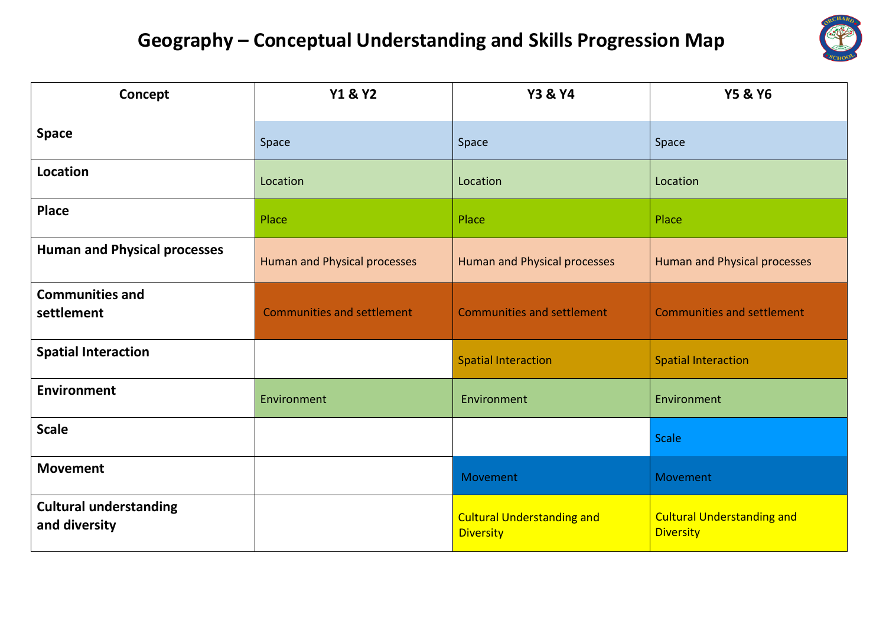

| Concept                                        | <b>Y1 &amp; Y2</b>                | <b>Y3 &amp; Y4</b>                                    | <b>Y5 &amp; Y6</b>                                    |
|------------------------------------------------|-----------------------------------|-------------------------------------------------------|-------------------------------------------------------|
| <b>Space</b>                                   | Space                             | Space                                                 | Space                                                 |
| Location                                       | Location                          | Location                                              | Location                                              |
| <b>Place</b>                                   | Place                             | Place                                                 | Place                                                 |
| <b>Human and Physical processes</b>            | Human and Physical processes      | Human and Physical processes                          | Human and Physical processes                          |
| <b>Communities and</b><br>settlement           | <b>Communities and settlement</b> | <b>Communities and settlement</b>                     | <b>Communities and settlement</b>                     |
| <b>Spatial Interaction</b>                     |                                   | <b>Spatial Interaction</b>                            | <b>Spatial Interaction</b>                            |
| <b>Environment</b>                             | Environment                       | Environment                                           | Environment                                           |
| <b>Scale</b>                                   |                                   |                                                       | <b>Scale</b>                                          |
| <b>Movement</b>                                |                                   | Movement                                              | Movement                                              |
| <b>Cultural understanding</b><br>and diversity |                                   | <b>Cultural Understanding and</b><br><b>Diversity</b> | <b>Cultural Understanding and</b><br><b>Diversity</b> |